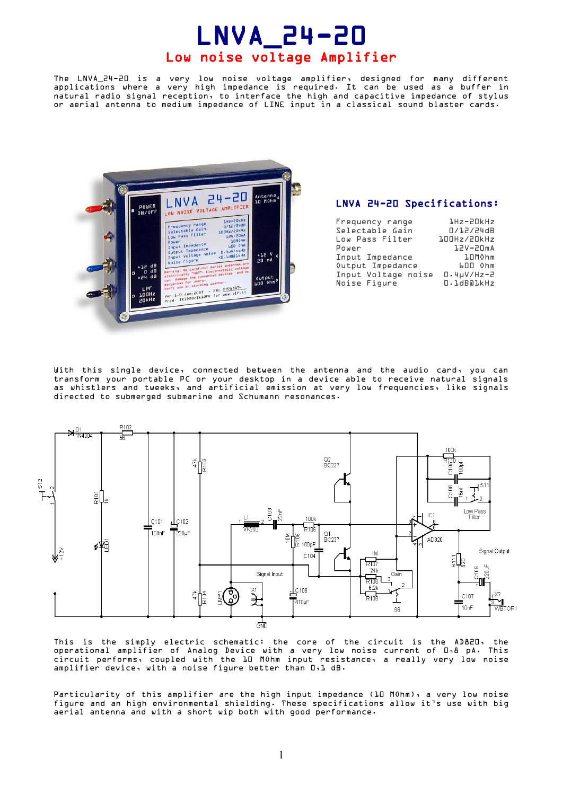# LNVA\_24-20 Low noise voltage Amplifier

The LNVA\_24-20 is a very low noise voltage amplifier, designed for many different applications where a very high impedance is required. It can be used as a buffer in natural radio signal reception, to interface the high and capacitive impedance of stylus or aerial antenna to medium impedance of LINE input in a classical sound blaster cards.



#### LNVA 24-20 Specifications:

| Frequency range<br>Selectable Gain | 1Hz-20kHz<br>0/12/24dB  |
|------------------------------------|-------------------------|
| Low Pass Filter<br>Power           | 100Hz/20kHz<br>12V-20mA |
| Input Impedance                    | <b>10MOhm</b>           |
| Output Impedance                   | 600 Ohm                 |
| Input Voltage noise                | $0.4\mu$ V/Hz-2         |
| Noise Figure                       | O.1dBa1kHz              |

With this single device, connected between the antenna and the audio card, you can transform your portable PC or your desktop in a device able to receive natural signals as whistlers and tweeks, and artificial emission at very low frequencies, like signals directed to submerged submarine and Schumann resonances.



This is the simply electric schematic: the core of the circuit is the AD820, the operational amplifier of Analog Device with a very low noise current of 0,8 pA. This circuit performs, coupled with the 10 MOhm input resistance, a really very low noise amplifier device, with a noise figure better than 0,1 dB.

Particularity of this amplifier are the high input impedance (10 MOhm), a very low noise figure and an high environmental shielding. These specifications allow it's use with big aerial antenna and with a short wip both with good performance.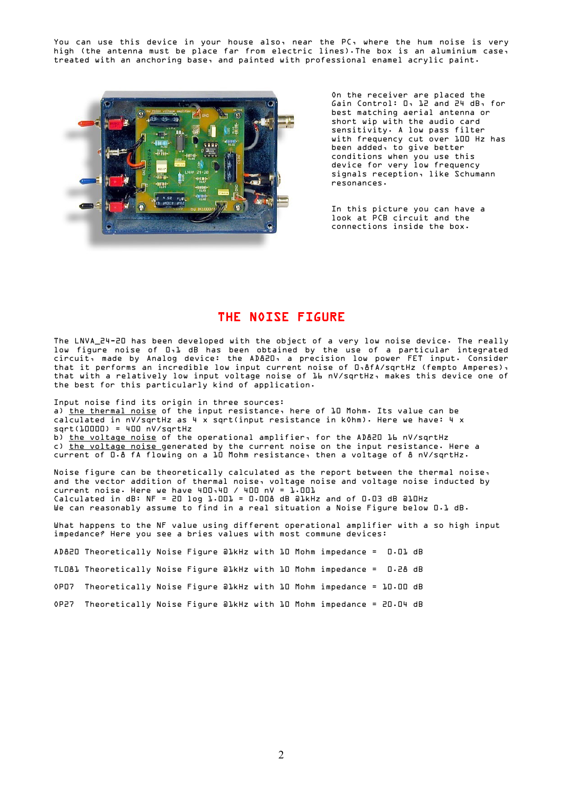You can use this device in your house also, near the PC, where the hum noise is very high (the antenna must be place far from electric lines).The box is an aluminium case, treated with an anchoring base, and painted with professional enamel acrylic paint.



On the receiver are placed the Gain Control: 0, 12 and 24 dB, for best matching aerial antenna or short wip with the audio card sensitivity. A low pass filter with frequency cut over 100 Hz has been added, to give better conditions when you use this device for very low frequency signals reception, like Schumann resonances.

In this picture you can have a look at PCB circuit and the connections inside the box.

## THE NOISE FIGURE

The LNVA\_24-20 has been developed with the object of a very low noise device. The really low figure noise of 0,1 dB has been obtained by the use of a particular integrated circuit, made by Analog device: the AD820, a precision low power FET input. Consider that it performs an incredible low input current noise of 0,8fA/sqrtHz (fempto Amperes), that with a relatively low input voltage noise of 16 nV/sqrtHz, makes this device one of the best for this particularly kind of application.

Input noise find its origin in three sources: a) the thermal noise of the input resistance, here of 10 Mohm. Its value can be calculated in nV/sqrtHz as 4 x sqrt(input resistance in kOhm). Here we have: 4 x sqrt(10000) = 400 nV/sqrtHz b) the voltage noise of the operational amplifier, for the AD820 16 nV/sqrtHz c) the voltage noise generated by the current noise on the input resistance. Here a current of 0.8 fA flowing on a 10 Mohm resistance, then a voltage of 8 nV/sqrtHz.

Noise figure can be theoretically calculated as the report between the thermal noise, and the vector addition of thermal noise, voltage noise and voltage noise inducted by  $current noise. Here we have 400.40 / 400 nV = 1.001$ Calculated in dB: NF = 20 log 1.001 = 0.008 dB @1kHz and of 0.03 dB @10Hz We can reasonably assume to find in a real situation a Noise Figure below D.1 dB.

What happens to the NF value using different operational amplifier with a so high input impedance? Here you see a bries values with most commune devices:

AD820 Theoretically Noise Figure @1kHz with 10 Mohm impedance = 0.01 dB

TL081 Theoretically Noise Figure @1kHz with 10 Mohm impedance = 0.28 dB

OP07 Theoretically Noise Figure @1kHz with 10 Mohm impedance = 10.00 dB

OP27 Theoretically Noise Figure @1kHz with 10 Mohm impedance = 20.04 dB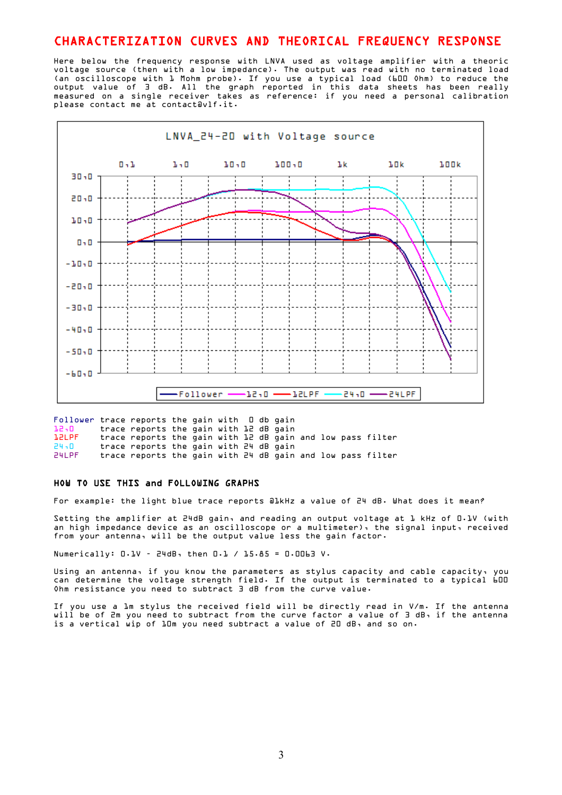## CHARACTERIZATION CURVES AND THEORICAL FREQUENCY RESPONSE

Here below the frequency response with LNVA used as voltage amplifier with a theoric voltage source (then with a low impedance). The output was read with no terminated load (an oscilloscope with 1 Mohm probe). If you use a typical load (600 Ohm) to reduce the output value of 3 dB. All the graph reported in this data sheets has been really measured on a single receiver takes as reference: if you need a personal calibration please contact me at contact@vlf.it.



Follower trace reports the gain with 0 db gain  $12.0$  trace reports the gain with 12 dB gain<br>12 PF trace reports the gain with 12 dB gain trace reports the gain with 12 dB gain and low pass filter 24,0 trace reports the gain with 24 dB gain 24LPF trace reports the gain with 24 dB gain and low pass filter

#### HOW TO USE THIS and FOLLOWING GRAPHS

For example: the light blue trace reports @1kHz a value of 24 dB. What does it mean?

Setting the amplifier at 24dB gain, and reading an output voltage at 1 kHz of 0.1V (with an high impedance device as an oscilloscope or a multimeter), the signal input, received from your antenna, will be the output value less the gain factor.

Numerically: 0.1V – 24dB, then 0.1 / 15.85 = 0.0063 V.

Using an antenna, if you know the parameters as stylus capacity and cable capacity, you can determine the voltage strength field. If the output is terminated to a typical 600 Ohm resistance you need to subtract 3 dB from the curve value.

If you use a 1m stylus the received field will be directly read in V/m. If the antenna will be of 2m you need to subtract from the curve factor a value of 3 dB, if the antenna is a vertical wip of 10m you need subtract a value of 20 dB, and so on.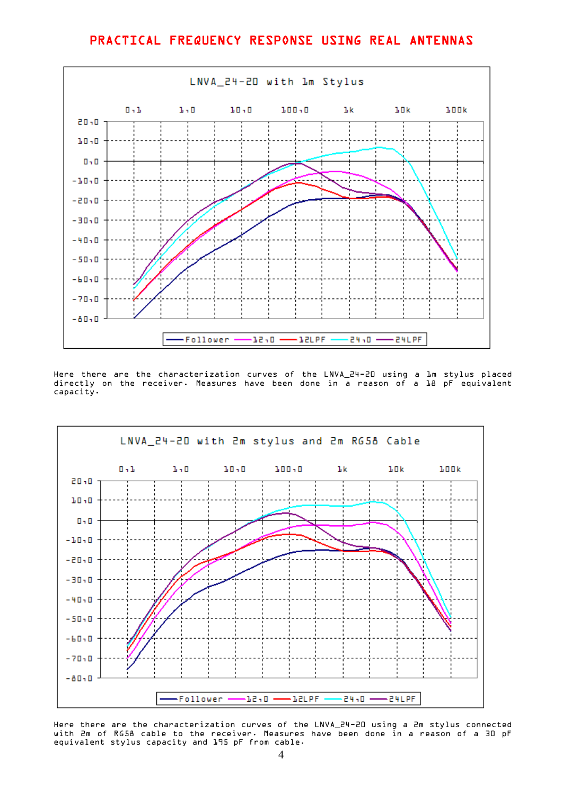# PRACTICAL FREQUENCY RESPONSE USING REAL ANTENNAS



Here there are the characterization curves of the LNVA\_24-20 using a 1m stylus placed directly on the receiver. Measures have been done in a reason of a 18 pF equivalent capacity.



Here there are the characterization curves of the LNVA\_24-20 using a 2m stylus connected with 2m of RG58 cable to the receiver. Measures have been done in a reason of a 30 pF equivalent stylus capacity and 195 pF from cable.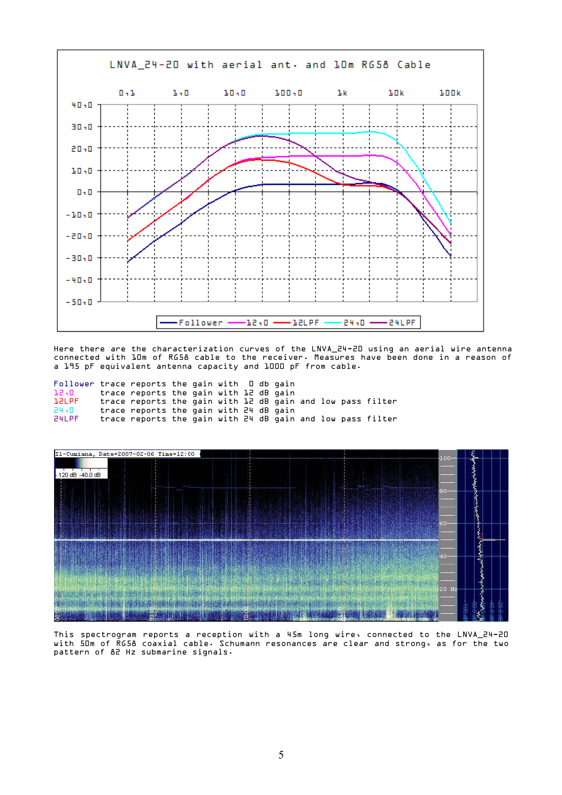

Here there are the characterization curves of the LNVA\_24-20 using an aerial wire antenna connected with 10m of RG58 cable to the receiver. Measures have been done in a reason of a 195 pF equivalent antenna capacity and 1000 pF from cable.

| Follower trace reports the gain with $\Box$ db gain |                                                            |  |  |  |  |  |
|-----------------------------------------------------|------------------------------------------------------------|--|--|--|--|--|
| 12,0                                                | trace reports the gain with 12 dB gain                     |  |  |  |  |  |
| <b>L2LPF</b>                                        | trace reports the gain with 12 dB gain and low pass filter |  |  |  |  |  |
| 24.0                                                | trace reports the gain with 24 dB gain                     |  |  |  |  |  |
| 24LPF                                               | trace reports the gain with 24 dB gain and low pass filter |  |  |  |  |  |



This spectrogram reports a reception with a 45m long wire, connected to the LNVA\_24-20 with 50m of RG58 coaxial cable. Schumann resonances are clear and strong, as for the two pattern of 82 Hz submarine signals.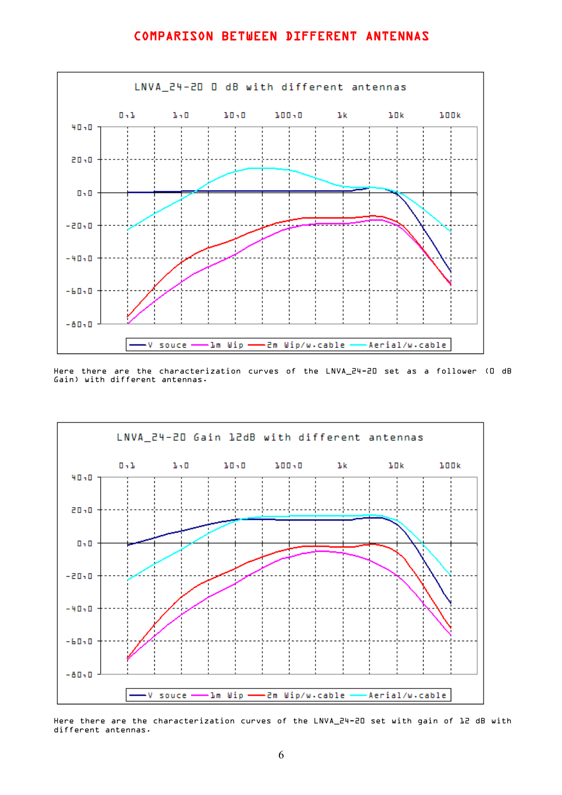## COMPARISON BETWEEN DIFFERENT ANTENNAS



Here there are the characterization curves of the LNVA\_24-20 set as a follower (0 dB Gain) with different antennas.



Here there are the characterization curves of the LNVA\_24-20 set with gain of 12 dB with different antennas.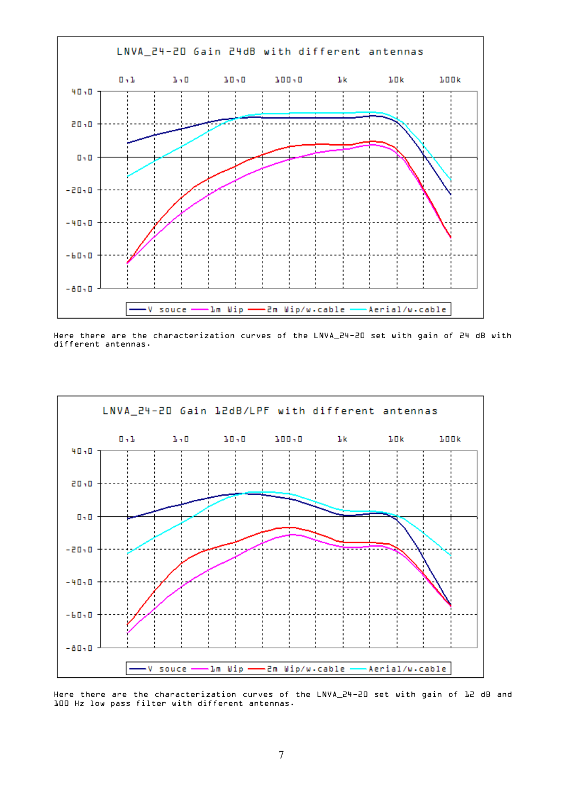

Here there are the characterization curves of the LNVA\_24-20 set with gain of 24 dB with different antennas.



Here there are the characterization curves of the LNVA\_24-20 set with gain of 12 dB and 100 Hz low pass filter with different antennas.